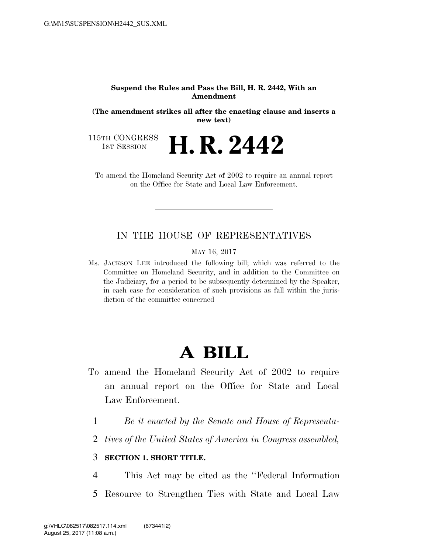#### **Suspend the Rules and Pass the Bill, H. R. 2442, With an Amendment**

**(The amendment strikes all after the enacting clause and inserts a new text)** 

115TH CONGRESS<br>1st Session

**H. R. 2442** 

To amend the Homeland Security Act of 2002 to require an annual report on the Office for State and Local Law Enforcement.

### IN THE HOUSE OF REPRESENTATIVES

MAY 16, 2017

Ms. JACKSON LEE introduced the following bill; which was referred to the Committee on Homeland Security, and in addition to the Committee on the Judiciary, for a period to be subsequently determined by the Speaker, in each case for consideration of such provisions as fall within the jurisdiction of the committee concerned

# **A BILL**

- To amend the Homeland Security Act of 2002 to require an annual report on the Office for State and Local Law Enforcement.
	- 1 *Be it enacted by the Senate and House of Representa-*
	- 2 *tives of the United States of America in Congress assembled,*

### 3 **SECTION 1. SHORT TITLE.**

4 This Act may be cited as the ''Federal Information 5 Resource to Strengthen Ties with State and Local Law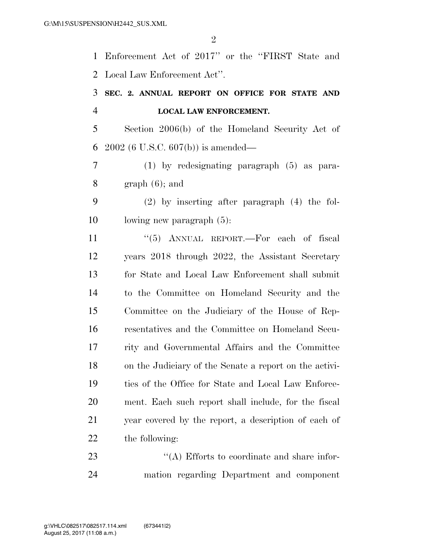$\mathfrak{D}$ 

 Enforcement Act of 2017'' or the ''FIRST State and Local Law Enforcement Act''.

## **SEC. 2. ANNUAL REPORT ON OFFICE FOR STATE AND LOCAL LAW ENFORCEMENT.**

 Section 2006(b) of the Homeland Security Act of 2002 (6 U.S.C. 607(b)) is amended—

 (1) by redesignating paragraph (5) as para-8 graph  $(6)$ ; and

 (2) by inserting after paragraph (4) the fol-lowing new paragraph (5):

11 "(5) ANNUAL REPORT.—For each of fiscal years 2018 through 2022, the Assistant Secretary for State and Local Law Enforcement shall submit to the Committee on Homeland Security and the Committee on the Judiciary of the House of Rep- resentatives and the Committee on Homeland Secu- rity and Governmental Affairs and the Committee on the Judiciary of the Senate a report on the activi- ties of the Office for State and Local Law Enforce- ment. Each such report shall include, for the fiscal year covered by the report, a description of each of the following:

23 ''(A) Efforts to coordinate and share infor-mation regarding Department and component